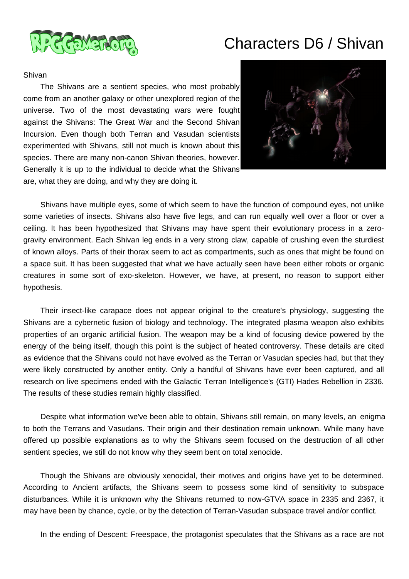

## Characters D6 / Shivan

## Shivan

 The Shivans are a sentient species, who most probably come from an another galaxy or other unexplored region of the universe. Two of the most devastating wars were fought against the Shivans: The Great War and the Second Shivan Incursion. Even though both Terran and Vasudan scientists experimented with Shivans, still not much is known about this species. There are many non-canon Shivan theories, however. Generally it is up to the individual to decide what the Shivans are, what they are doing, and why they are doing it.



 Shivans have multiple eyes, some of which seem to have the function of compound eyes, not unlike some varieties of insects. Shivans also have five legs, and can run equally well over a floor or over a ceiling. It has been hypothesized that Shivans may have spent their evolutionary process in a zerogravity environment. Each Shivan leg ends in a very strong claw, capable of crushing even the sturdiest of known alloys. Parts of their thorax seem to act as compartments, such as ones that might be found on a space suit. It has been suggested that what we have actually seen have been either robots or organic creatures in some sort of exo-skeleton. However, we have, at present, no reason to support either hypothesis.

 Their insect-like carapace does not appear original to the creature's physiology, suggesting the Shivans are a cybernetic fusion of biology and technology. The integrated plasma weapon also exhibits properties of an organic artificial fusion. The weapon may be a kind of focusing device powered by the energy of the being itself, though this point is the subject of heated controversy. These details are cited as evidence that the Shivans could not have evolved as the Terran or Vasudan species had, but that they were likely constructed by another entity. Only a handful of Shivans have ever been captured, and all research on live specimens ended with the Galactic Terran Intelligence's (GTI) Hades Rebellion in 2336. The results of these studies remain highly classified.

 Despite what information we've been able to obtain, Shivans still remain, on many levels, an enigma to both the Terrans and Vasudans. Their origin and their destination remain unknown. While many have offered up possible explanations as to why the Shivans seem focused on the destruction of all other sentient species, we still do not know why they seem bent on total xenocide.

 Though the Shivans are obviously xenocidal, their motives and origins have yet to be determined. According to Ancient artifacts, the Shivans seem to possess some kind of sensitivity to subspace disturbances. While it is unknown why the Shivans returned to now-GTVA space in 2335 and 2367, it may have been by chance, cycle, or by the detection of Terran-Vasudan subspace travel and/or conflict.

In the ending of Descent: Freespace, the protagonist speculates that the Shivans as a race are not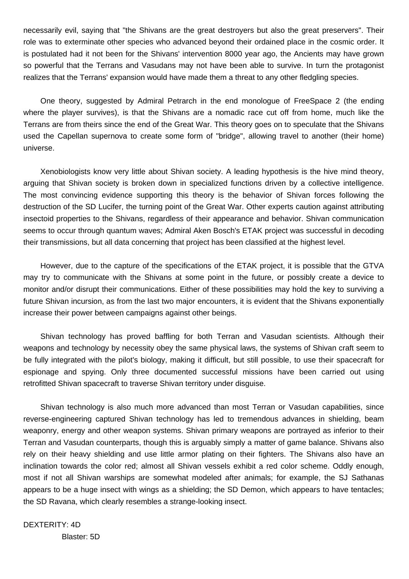necessarily evil, saying that "the Shivans are the great destroyers but also the great preservers". Their role was to exterminate other species who advanced beyond their ordained place in the cosmic order. It is postulated had it not been for the Shivans' intervention 8000 year ago, the Ancients may have grown so powerful that the Terrans and Vasudans may not have been able to survive. In turn the protagonist realizes that the Terrans' expansion would have made them a threat to any other fledgling species.

 One theory, suggested by Admiral Petrarch in the end monologue of FreeSpace 2 (the ending where the player survives), is that the Shivans are a nomadic race cut off from home, much like the Terrans are from theirs since the end of the Great War. This theory goes on to speculate that the Shivans used the Capellan supernova to create some form of "bridge", allowing travel to another (their home) universe.

 Xenobiologists know very little about Shivan society. A leading hypothesis is the hive mind theory, arguing that Shivan society is broken down in specialized functions driven by a collective intelligence. The most convincing evidence supporting this theory is the behavior of Shivan forces following the destruction of the SD Lucifer, the turning point of the Great War. Other experts caution against attributing insectoid properties to the Shivans, regardless of their appearance and behavior. Shivan communication seems to occur through quantum waves; Admiral Aken Bosch's ETAK project was successful in decoding their transmissions, but all data concerning that project has been classified at the highest level.

 However, due to the capture of the specifications of the ETAK project, it is possible that the GTVA may try to communicate with the Shivans at some point in the future, or possibly create a device to monitor and/or disrupt their communications. Either of these possibilities may hold the key to surviving a future Shivan incursion, as from the last two major encounters, it is evident that the Shivans exponentially increase their power between campaigns against other beings.

 Shivan technology has proved baffling for both Terran and Vasudan scientists. Although their weapons and technology by necessity obey the same physical laws, the systems of Shivan craft seem to be fully integrated with the pilot's biology, making it difficult, but still possible, to use their spacecraft for espionage and spying. Only three documented successful missions have been carried out using retrofitted Shivan spacecraft to traverse Shivan territory under disguise.

 Shivan technology is also much more advanced than most Terran or Vasudan capabilities, since reverse-engineering captured Shivan technology has led to tremendous advances in shielding, beam weaponry, energy and other weapon systems. Shivan primary weapons are portrayed as inferior to their Terran and Vasudan counterparts, though this is arguably simply a matter of game balance. Shivans also rely on their heavy shielding and use little armor plating on their fighters. The Shivans also have an inclination towards the color red; almost all Shivan vessels exhibit a red color scheme. Oddly enough, most if not all Shivan warships are somewhat modeled after animals; for example, the SJ Sathanas appears to be a huge insect with wings as a shielding; the SD Demon, which appears to have tentacles; the SD Ravana, which clearly resembles a strange-looking insect.

DEXTERITY: 4D Blaster: 5D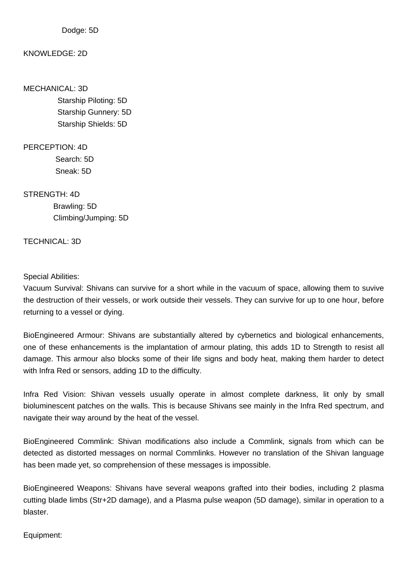## KNOWLEDGE: 2D

MECHANICAL: 3D

 Starship Piloting: 5D Starship Gunnery: 5D Starship Shields: 5D

PERCEPTION: 4D Search: 5D Sneak: 5D

STRENGTH: 4D Brawling: 5D Climbing/Jumping: 5D

TECHNICAL: 3D

## Special Abilities:

Vacuum Survival: Shivans can survive for a short while in the vacuum of space, allowing them to suvive the destruction of their vessels, or work outside their vessels. They can survive for up to one hour, before returning to a vessel or dying.

BioEngineered Armour: Shivans are substantially altered by cybernetics and biological enhancements, one of these enhancements is the implantation of armour plating, this adds 1D to Strength to resist all damage. This armour also blocks some of their life signs and body heat, making them harder to detect with Infra Red or sensors, adding 1D to the difficulty.

Infra Red Vision: Shivan vessels usually operate in almost complete darkness, lit only by small bioluminescent patches on the walls. This is because Shivans see mainly in the Infra Red spectrum, and navigate their way around by the heat of the vessel.

BioEngineered Commlink: Shivan modifications also include a Commlink, signals from which can be detected as distorted messages on normal Commlinks. However no translation of the Shivan language has been made yet, so comprehension of these messages is impossible.

BioEngineered Weapons: Shivans have several weapons grafted into their bodies, including 2 plasma cutting blade limbs (Str+2D damage), and a Plasma pulse weapon (5D damage), similar in operation to a blaster.

Equipment: